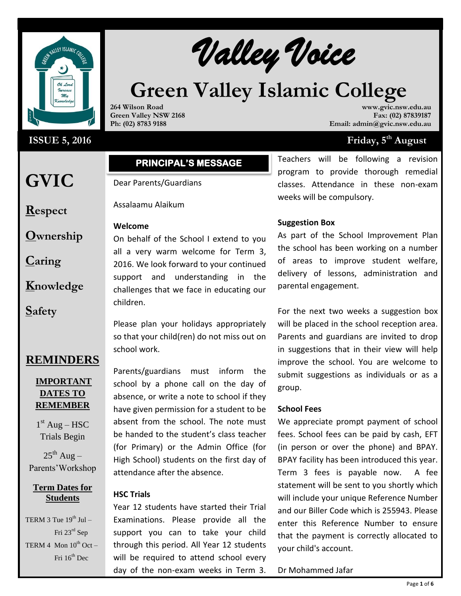

# **ISSUE 5, 2016** Friday, 5

**GVIC** 

**Respect**

**Caring**

**Safety**

**Ownership**

**Knowledge**

# **PRINCIPAL'S MESSAGE**

Dear Parents/Guardians

Assalaamu Alaikum

**264 Wilson Road Green Valley NSW 2168 Ph: (02) 8783 9188**

## **Welcome**

On behalf of the School I extend to you all a very warm welcome for Term 3, 2016. We look forward to your continued support and understanding in the challenges that we face in educating our children.

Please plan your holidays appropriately so that your child(ren) do not miss out on school work.

**REMINDERS**

# **IMPORTANT DATES TO REMEMBER**

 $1<sup>st</sup>$  Aug – HSC Trials Begin

 $25^{th}$  Aug – Parents'Workshop

## **Term Dates for Students**

TERM 3 Tue  $19^{th}$  Jul – Fri 23rd Sep TERM 4 Mon  $10^{th}$  Oct – Fri  $16^{th}$  Dec

# Parents/guardians must inform the school by a phone call on the day of absence, or write a note to school if they have given permission for a student to be absent from the school. The note must be handed to the student's class teacher (for Primary) or the Admin Office (for High School) students on the first day of attendance after the absence.

# **HSC Trials**

Year 12 students have started their Trial Examinations. Please provide all the support you can to take your child through this period. All Year 12 students will be required to attend school every day of the non-exam weeks in Term 3.

**www.gvic.nsw.edu.au Fax: (02) 87839187 Email: admin@gvic.nsw.edu.au**

# Friday, 5<sup>th</sup> August

Teachers will be following a revision program to provide thorough remedial classes. Attendance in these non-exam weeks will be compulsory.

## **Suggestion Box**

**Green Valley Islamic College**

As part of the School Improvement Plan the school has been working on a number of areas to improve student welfare, delivery of lessons, administration and parental engagement.

For the next two weeks a suggestion box will be placed in the school reception area. Parents and guardians are invited to drop in suggestions that in their view will help improve the school. You are welcome to submit suggestions as individuals or as a group.

### **School Fees**

We appreciate prompt payment of school fees. School fees can be paid by cash, EFT (in person or over the phone) and BPAY. BPAY facility has been introduced this year. Term 3 fees is payable now. A fee statement will be sent to you shortly which will include your unique Reference Number and our Biller Code which is 255943. Please enter this Reference Number to ensure that the payment is correctly allocated to your child's account.

Dr Mohammed Jafar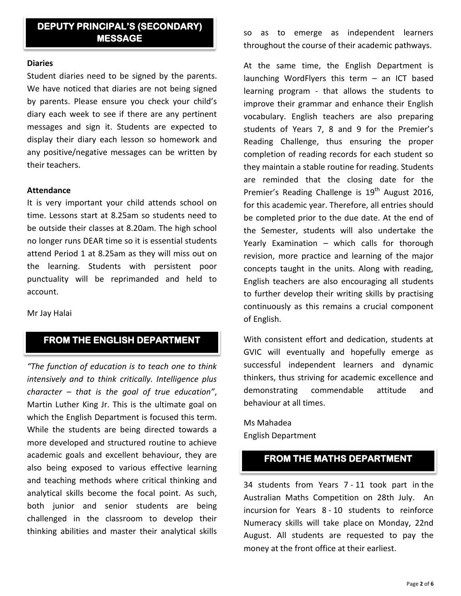# **DEPUTY PRINCIPAL'S (SECONDARY) MESSAGE**

#### **Diaries**

Student diaries need to be signed by the parents. We have noticed that diaries are not being signed by parents. Please ensure you check your child's diary each week to see if there are any pertinent messages and sign it. Students are expected to display their diary each lesson so homework and any positive/negative messages can be written by their teachers.

#### **Attendance**

It is very important your child attends school on time. Lessons start at 8.25am so students need to be outside their classes at 8.20am. The high school no longer runs DEAR time so it is essential students attend Period 1 at 8.25am as they will miss out on the learning. Students with persistent poor punctuality will be reprimanded and held to account.

Mr Jay Halai

# **FROM THE ENGLISH DEPARTMENT**

*"The function of education is to teach one to think intensively and to think critically. Intelligence plus character – that is the goal of true education"*, Martin Luther King Jr. This is the ultimate goal on which the English Department is focused this term. While the students are being directed towards a more developed and structured routine to achieve academic goals and excellent behaviour, they are also being exposed to various effective learning and teaching methods where critical thinking and analytical skills become the focal point. As such, both junior and senior students are being challenged in the classroom to develop their thinking abilities and master their analytical skills

so as to emerge as independent learners throughout the course of their academic pathways.

At the same time, the English Department is launching WordFlyers this term – an ICT based learning program - that allows the students to improve their grammar and enhance their English vocabulary. English teachers are also preparing students of Years 7, 8 and 9 for the Premier's Reading Challenge, thus ensuring the proper completion of reading records for each student so they maintain a stable routine for reading. Students are reminded that the closing date for the Premier's Reading Challenge is  $19<sup>th</sup>$  August 2016, for this academic year. Therefore, all entries should be completed prior to the due date. At the end of the Semester, students will also undertake the Yearly Examination – which calls for thorough revision, more practice and learning of the major concepts taught in the units. Along with reading, English teachers are also encouraging all students to further develop their writing skills by practising continuously as this remains a crucial component of English.

With consistent effort and dedication, students at GVIC will eventually and hopefully emerge as successful independent learners and dynamic thinkers, thus striving for academic excellence and demonstrating commendable attitude and behaviour at all times.

Ms Mahadea English Department

# **FROM THE MATHS DEPARTMENT**

34 students from Years 7 - 11 took part in the Australian Maths Competition on 28th July. An incursion for Years 8 - 10 students to reinforce Numeracy skills will take place on Monday, 22nd August. All students are requested to pay the money at the front office at their earliest.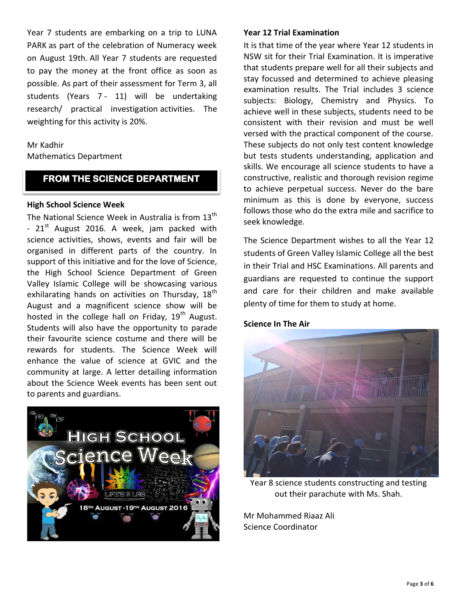Year 7 students are embarking on a trip to LUNA PARK as part of the celebration of Numeracy week on August 19th. All Year 7 students are requested to pay the money at the front office as soon as possible. As part of their assessment for Term 3, all students (Years 7 - 11) will be undertaking research/ practical investigation activities. The weighting for this activity is 20%.

## Mr Kadhir

Mathematics Department

# **FROM THE SCIENCE DEPARTMENT**

### **High School Science Week**

The National Science Week in Australia is from 13<sup>th</sup> -  $21<sup>st</sup>$  August 2016. A week, jam packed with science activities, shows, events and fair will be organised in different parts of the country. In support of this initiative and for the love of Science, the High School Science Department of Green Valley Islamic College will be showcasing various exhilarating hands on activities on Thursday, 18<sup>th</sup> August and a magnificent science show will be hosted in the college hall on Friday,  $19<sup>th</sup>$  August. Students will also have the opportunity to parade their favourite science costume and there will be rewards for students. The Science Week will enhance the value of science at GVIC and the community at large. A letter detailing information about the Science Week events has been sent out to parents and guardians.



## **Year 12 Trial Examination**

It is that time of the year where Year 12 students in NSW sit for their Trial Examination. It is imperative that students prepare well for all their subjects and stay focussed and determined to achieve pleasing examination results. The Trial includes 3 science subjects: Biology, Chemistry and Physics. To achieve well in these subjects, students need to be consistent with their revision and must be well versed with the practical component of the course. These subjects do not only test content knowledge but tests students understanding, application and skills. We encourage all science students to have a constructive, realistic and thorough revision regime to achieve perpetual success. Never do the bare minimum as this is done by everyone, success follows those who do the extra mile and sacrifice to seek knowledge.

The Science Department wishes to all the Year 12 students of Green Valley Islamic College all the best in their Trial and HSC Examinations. All parents and guardians are requested to continue the support and care for their children and make available plenty of time for them to study at home.

### **Science In The Air**



Year 8 science students constructing and testing out their parachute with Ms. Shah.

Mr Mohammed Riaaz Ali Science Coordinator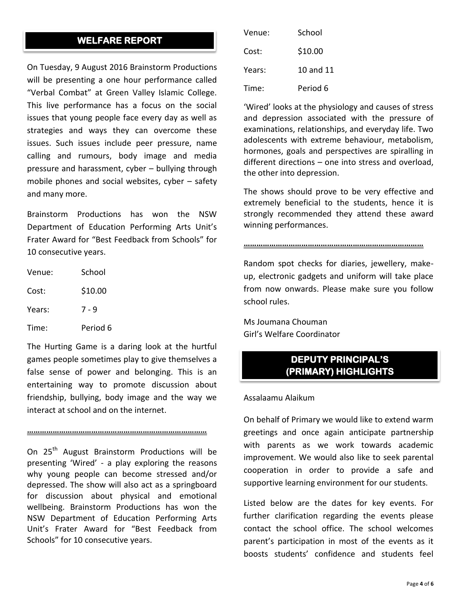# **WELFARE REPORT**

On Tuesday, 9 August 2016 Brainstorm Productions will be presenting a one hour performance called "Verbal Combat" at Green Valley Islamic College. This live performance has a focus on the social issues that young people face every day as well as strategies and ways they can overcome these issues. Such issues include peer pressure, name calling and rumours, body image and media pressure and harassment, cyber – bullying through mobile phones and social websites, cyber – safety and many more.

Brainstorm Productions has won the NSW Department of Education Performing Arts Unit's Frater Award for "Best Feedback from Schools" for 10 consecutive years.

| Venue: | School   |  |
|--------|----------|--|
| Cost:  | \$10.00  |  |
| Years: | 7 - 9    |  |
| Time:  | Period 6 |  |

The Hurting Game is a daring look at the hurtful games people sometimes play to give themselves a false sense of power and belonging. This is an entertaining way to promote discussion about friendship, bullying, body image and the way we interact at school and on the internet.

## **…………………………………………………………………………**

On 25<sup>th</sup> August Brainstorm Productions will be presenting 'Wired' - a play exploring the reasons why young people can become stressed and/or depressed. The show will also act as a springboard for discussion about physical and emotional wellbeing. Brainstorm Productions has won the NSW Department of Education Performing Arts Unit's Frater Award for "Best Feedback from Schools" for 10 consecutive years.

| Venue: | School    |  |
|--------|-----------|--|
| Cost:  | \$10.00   |  |
| Years: | 10 and 11 |  |
| Time:  | Period 6  |  |

'Wired' looks at the physiology and causes of stress and depression associated with the pressure of examinations, relationships, and everyday life. Two adolescents with extreme behaviour, metabolism, hormones, goals and perspectives are spiralling in different directions – one into stress and overload, the other into depression.

The shows should prove to be very effective and extremely beneficial to the students, hence it is strongly recommended they attend these award winning performances.

## **…………………………………………………………………………**

Random spot checks for diaries, jewellery, makeup, electronic gadgets and uniform will take place from now onwards. Please make sure you follow school rules.

Ms Joumana Chouman Girl's Welfare Coordinator

# **DEPUTY PRINCIPAL'S (PRIMARY) HIGHLIGHTS**

#### Assalaamu Alaikum

On behalf of Primary we would like to extend warm greetings and once again anticipate partnership with parents as we work towards academic improvement. We would also like to seek parental cooperation in order to provide a safe and supportive learning environment for our students.

Listed below are the dates for key events. For further clarification regarding the events please contact the school office. The school welcomes parent's participation in most of the events as it boosts students' confidence and students feel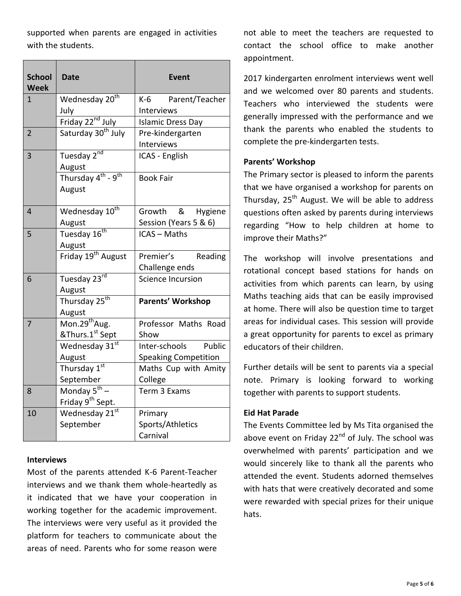supported when parents are engaged in activities with the students.

| <b>School</b><br><b>Week</b>  | <b>Date</b>                           | <b>Event</b>                                 |  |  |
|-------------------------------|---------------------------------------|----------------------------------------------|--|--|
| 1                             | Wednesday 20 <sup>th</sup>            | K-6<br>Parent/Teacher                        |  |  |
|                               | July                                  | Interviews                                   |  |  |
|                               | Friday 22 <sup>nd</sup> July          | <b>Islamic Dress Day</b>                     |  |  |
| $\overline{2}$                | Saturday 30 <sup>th</sup> July        | Pre-kindergarten                             |  |  |
|                               |                                       | Interviews                                   |  |  |
| 3                             | Tuesday 2nd                           | ICAS - English                               |  |  |
|                               | August                                |                                              |  |  |
|                               | Thursday $4^{th}$ - $9^{th}$          | <b>Book Fair</b>                             |  |  |
|                               | August                                |                                              |  |  |
|                               |                                       |                                              |  |  |
| 4                             | Wednesday 10 <sup>th</sup>            | Growth &<br>Hygiene<br>Session (Years 5 & 6) |  |  |
|                               | August                                |                                              |  |  |
| 5                             | Tuesday 16 <sup>th</sup>              | <b>ICAS - Maths</b>                          |  |  |
|                               | August                                |                                              |  |  |
|                               | Friday 19 <sup>th</sup> August        | Premier's<br>Reading                         |  |  |
|                               |                                       | Challenge ends                               |  |  |
| 6                             | Tuesday 23rd                          | <b>Science Incursion</b>                     |  |  |
|                               | August                                |                                              |  |  |
|                               | Thursday 25 <sup>th</sup>             | Parents' Workshop                            |  |  |
|                               | August                                |                                              |  |  |
| 7                             | Mon.29 <sup>th</sup> Aug.             | Professor Maths Road                         |  |  |
|                               | <u>&amp;Thurs.1<sup>st</sup> Sept</u> | Show                                         |  |  |
|                               | Wednesday 31st                        | Inter-schools<br>Public                      |  |  |
|                               | August                                | <b>Speaking Competition</b>                  |  |  |
|                               | Thursday 1st                          | Maths Cup with Amity                         |  |  |
|                               | September                             | College                                      |  |  |
| Monday 5 <sup>th</sup> –<br>8 |                                       | Term 3 Exams                                 |  |  |
|                               | Friday 9 <sup>th</sup> Sept.          |                                              |  |  |
| 10                            | Wednesday 21st                        | Primary                                      |  |  |
|                               | September                             | Sports/Athletics                             |  |  |
|                               |                                       | Carnival                                     |  |  |

### **Interviews**

Most of the parents attended K-6 Parent-Teacher interviews and we thank them whole-heartedly as it indicated that we have your cooperation in working together for the academic improvement. The interviews were very useful as it provided the platform for teachers to communicate about the areas of need. Parents who for some reason were

not able to meet the teachers are requested to contact the school office to make another appointment.

2017 kindergarten enrolment interviews went well and we welcomed over 80 parents and students. Teachers who interviewed the students were generally impressed with the performance and we thank the parents who enabled the students to complete the pre-kindergarten tests.

### **Parents' Workshop**

The Primary sector is pleased to inform the parents that we have organised a workshop for parents on Thursday, 25<sup>th</sup> August. We will be able to address questions often asked by parents during interviews regarding "How to help children at home to improve their Maths?"

The workshop will involve presentations and rotational concept based stations for hands on activities from which parents can learn, by using Maths teaching aids that can be easily improvised at home. There will also be question time to target areas for individual cases. This session will provide a great opportunity for parents to excel as primary educators of their children.

Further details will be sent to parents via a special note. Primary is looking forward to working together with parents to support students.

### **Eid Hat Parade**

The Events Committee led by Ms Tita organised the above event on Friday  $22^{nd}$  of July. The school was overwhelmed with parents' participation and we would sincerely like to thank all the parents who attended the event. Students adorned themselves with hats that were creatively decorated and some were rewarded with special prizes for their unique hats.